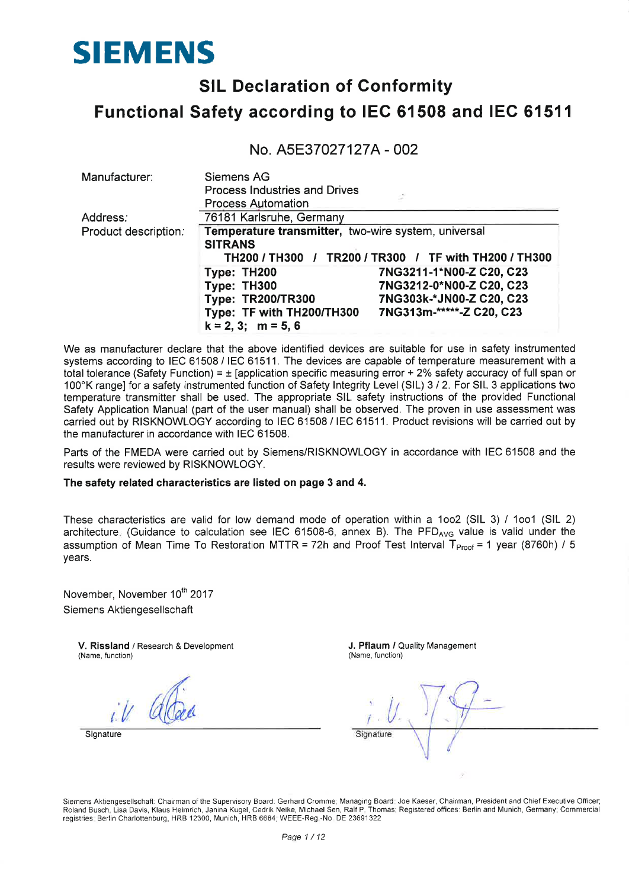# **SIEMENS**

# **SIL Declaration of Conformity** Functional Safety according to IEC 61508 and IEC 61511

No. A5E37027127A - 002

| Manufacturer:        | <b>Siemens AG</b>                                     |                          |  |  |  |
|----------------------|-------------------------------------------------------|--------------------------|--|--|--|
|                      | <b>Process Industries and Drives</b>                  |                          |  |  |  |
|                      | <b>Process Automation</b>                             |                          |  |  |  |
| Address:             | 76181 Karlsruhe, Germany                              |                          |  |  |  |
| Product description: | Temperature transmitter, two-wire system, universal   |                          |  |  |  |
|                      | <b>SITRANS</b>                                        |                          |  |  |  |
|                      | TH200 / TH300 / TR200 / TR300 / TF with TH200 / TH300 |                          |  |  |  |
|                      | Type: TH200                                           | 7NG3211-1*N00-Z C20, C23 |  |  |  |
|                      | Type: TH300                                           | 7NG3212-0*N00-Z C20, C23 |  |  |  |
|                      | <b>Type: TR200/TR300</b>                              | 7NG303k-*JN00-Z C20, C23 |  |  |  |
|                      | Type: TF with TH200/TH300                             | 7NG313m-*****-Z C20, C23 |  |  |  |
|                      | $k = 2, 3; m = 5, 6$                                  |                          |  |  |  |

We as manufacturer declare that the above identified devices are suitable for use in safety instrumented systems according to IEC 61508 / IEC 61511. The devices are capable of temperature measurement with a total tolerance (Safety Function) =  $\pm$  [application specific measuring error + 2% safety accuracy of full span or 100°K range] for a safety instrumented function of Safety Integrity Level (SIL) 3/2. For SIL 3 applications two temperature transmitter shall be used. The appropriate SIL safety instructions of the provided Functional Safety Application Manual (part of the user manual) shall be observed. The proven in use assessment was carried out by RISKNOWLOGY according to IEC 61508 / IEC 61511. Product revisions will be carried out by the manufacturer in accordance with IEC 61508.

Parts of the FMEDA were carried out by Siemens/RISKNOWLOGY in accordance with IEC 61508 and the results were reviewed by RISKNOWLOGY.

#### The safety related characteristics are listed on page 3 and 4.

These characteristics are valid for low demand mode of operation within a 1002 (SIL 3) / 1001 (SIL 2) architecture. (Guidance to calculation see IEC 61508-6, annex B). The PFD<sub>AVG</sub> value is valid under the assumption of Mean Time To Restoration MTTR = 72h and Proof Test Interval  $T_{Proof}$  = 1 year (8760h) / 5 years.

November, November 10th 2017 Siemens Aktiengesellschaft

V. Rissland / Research & Development (Name, function)

Signature

J. Pflaum / Quality Management (Name, function)

Signature

Siemens Aktiengesellschaft: Chairman of the Supervisory Board: Gerhard Cromme; Managing Board: Joe Kaeser, Chairman, President and Chief Executive Officer;<br>Roland Busch, Lisa Davis, Klaus Helmrich, Janina Kugel, Cedrik Nei registries Berlin Charlottenburg, HRB 12300, Munich, HRB 6684, WEEE-Reg -No DE 23691322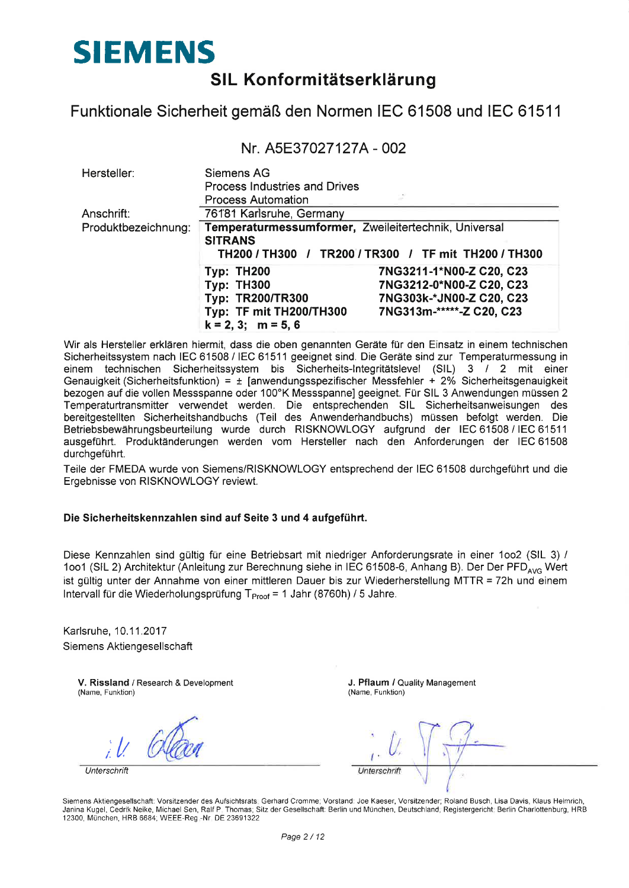# **SIEMENS**

# SIL Konformitätserklärung

Funktionale Sicherheit gemäß den Normen IEC 61508 und IEC 61511

## Nr. A5E37027127A - 002

| Hersteller:         | <b>Siemens AG</b>                                                                                             |                                                                                                              |
|---------------------|---------------------------------------------------------------------------------------------------------------|--------------------------------------------------------------------------------------------------------------|
|                     | Process Industries and Drives                                                                                 |                                                                                                              |
|                     | <b>Process Automation</b>                                                                                     |                                                                                                              |
| Anschrift:          | 76181 Karlsruhe, Germany                                                                                      |                                                                                                              |
| Produktbezeichnung: | Temperaturmessumformer, Zweileitertechnik, Universal<br><b>SITRANS</b>                                        | TH200 / TH300 / TR200 / TR300 / TF mit TH200 / TH300                                                         |
|                     | <b>Typ: TH200</b><br><b>Typ: TH300</b><br>Typ: TR200/TR300<br>Typ: TF mit TH200/TH300<br>$k = 2, 3; m = 5, 6$ | 7NG3211-1*N00-Z C20, C23<br>7NG3212-0*N00-Z C20, C23<br>7NG303k-*JN00-Z C20, C23<br>7NG313m-*****-Z C20, C23 |

Wir als Hersteller erklären hiermit, dass die oben genannten Geräte für den Einsatz in einem technischen Sicherheitssystem nach IEC 61508 / IEC 61511 geeignet sind. Die Geräte sind zur Temperaturmessung in einem technischen Sicherheitssystem bis Sicherheits-Integritätslevel (SIL) 3 / 2 mit einer Genauigkeit (Sicherheitsfunktion) = ± [anwendungsspezifischer Messfehler + 2% Sicherheitsgenauigkeit bezogen auf die vollen Messspanne oder 100°K Messspanne] geeignet. Für SIL 3 Anwendungen müssen 2 Temperaturtransmitter verwendet werden. Die entsprechenden SIL Sicherheitsanweisungen des<br>bereitgestellten Sicherheitshandbuchs (Teil des Anwenderhandbuchs) müssen befolgt werden. Die Betriebsbewährungsbeurteilung wurde durch RISKNOWLOGY aufgrund der IEC 61508 / IEC 61511 ausgeführt. Produktänderungen werden vom Hersteller nach den Anforderungen der IEC 61508 durchgeführt.

Teile der FMEDA wurde von Siemens/RISKNOWLOGY entsprechend der IEC 61508 durchgeführt und die Ergebnisse von RISKNOWLOGY reviewt.

#### Die Sicherheitskennzahlen sind auf Seite 3 und 4 aufgeführt.

Diese Kennzahlen sind gültig für eine Betriebsart mit niedriger Anforderungsrate in einer 1oo2 (SIL 3) / 1001 (SIL 2) Architektur (Anleitung zur Berechnung siehe in IEC 61508-6, Anhang B). Der Der PFD<sub>AVG</sub> Wert ist gültig unter der Annahme von einer mittleren Dauer bis zur Wiederherstellung MTTR = 72h und einem Intervall für die Wiederholungsprüfung T<sub>Proof</sub> = 1 Jahr (8760h) / 5 Jahre.

Karlsruhe, 10.11.2017 Siemens Aktiengesellschaft

V. Rissland / Research & Development (Name, Funktion)

Unterschrift

J. Pflaum / Quality Management (Name, Funktion)

Unterschrift

Siemens Aktiengesellschaft: Vorsitzender des Aufsichtsrats. Gerhard Cromme: Vorstand: Joe Kaeser, Vorsitzender; Roland Busch, Lisa Davis, Klaus Helmrich, Janina Kugel, Cedrik Neike, Michael Sen, Ralf P. Thomas; Sitz der Gesellschaft: Berlin und München, Deutschland, Registergericht: Berlin Charlottenburg, HRB 12300, München, HRB 6684; WEEE-Reg -Nr, DE 23691322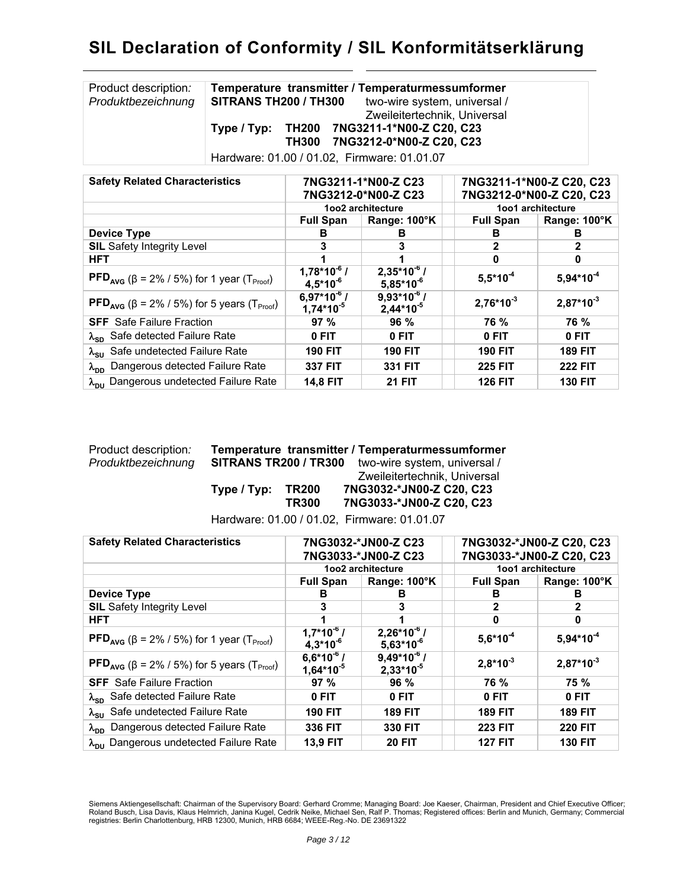# **SIL Declaration of Conformity / SIL Konformitätserklärung**

| Product description:<br>Produktbezeichnung | Temperature transmitter / Temperaturmessumformer<br>two-wire system, universal /<br>SITRANS TH200 / TH300<br>Zweileitertechnik, Universal<br>Type / Typ: TH200 7NG3211-1*N00-Z C20, C23<br>TH300 7NG3212-0*N00-Z C20, C23 |
|--------------------------------------------|---------------------------------------------------------------------------------------------------------------------------------------------------------------------------------------------------------------------------|
|                                            | Hardware: 01.00 / 01.02, Firmware: 01.01.07                                                                                                                                                                               |

| <b>Safety Related Characteristics</b>                                     | 7NG3211-1*N00-Z C23                |                                  |                          | 7NG3211-1*N00-Z C20, C23 |
|---------------------------------------------------------------------------|------------------------------------|----------------------------------|--------------------------|--------------------------|
|                                                                           |                                    | 7NG3212-0*N00-Z C23              | 7NG3212-0*N00-Z C20, C23 |                          |
|                                                                           |                                    | 1002 architecture                |                          | 1001 architecture        |
|                                                                           | <b>Full Span</b>                   | Range: 100°K                     | <b>Full Span</b>         | Range: 100°K             |
| <b>Device Type</b>                                                        | в                                  | в                                | в                        | в                        |
| <b>SIL</b> Safety Integrity Level                                         | 3                                  | 3                                | 2                        | 2                        |
| <b>HFT</b>                                                                |                                    |                                  | 0                        | 0                        |
| <b>PFD</b> <sub>AVG</sub> (β = 2% / 5%) for 1 year (T <sub>Proof</sub> )  | $1,78*10-6$ /<br>$4.5*10^{-6}$     | $2,35*10^{-6}$<br>$5,85*10^{-6}$ | $5,5*10^4$               | $5,94*10^{4}$            |
| <b>PFD</b> <sub>AVG</sub> (β = 2% / 5%) for 5 years (T <sub>Proof</sub> ) | $6,97*10^{-6}$ /<br>$1,74*10^{-5}$ | $9,93*10^{-6}$<br>$2,44*10^{-5}$ | $2,76*10^{-3}$           | $2,87*10^{-3}$           |
| <b>SFF</b> Safe Failure Fraction                                          | 97%                                | 96%                              | 76 %                     | 76 %                     |
| $\lambda_{SD}$ Safe detected Failure Rate                                 | 0 FIT                              | 0 FIT                            | 0 FIT                    | 0 FIT                    |
| $\lambda_{\text{SU}}$ Safe undetected Failure Rate                        | <b>190 FIT</b>                     | <b>190 FIT</b>                   | <b>190 FIT</b>           | <b>189 FIT</b>           |
| $\lambda_{DD}$ Dangerous detected Failure Rate                            | <b>337 FIT</b>                     | <b>331 FIT</b>                   | <b>225 FIT</b>           | <b>222 FIT</b>           |
| $\lambda_{\text{nu}}$ Dangerous undetected Failure Rate                   | <b>14,8 FIT</b>                    | <b>21 FIT</b>                    | <b>126 FIT</b>           | <b>130 FIT</b>           |

Product description*: Produktbezeichnung* 

**Temperature transmitter / Temperaturmessumformer SITRANS TR200 / TR300** two-wire system, universal / Zweileitertechnik, Universal **Type / Typ: TR200 7NG3032-\*JN00-Z C20, C23 TR300 7NG3033-\*JN00-Z C20, C23** 

Hardware: 01.00 / 01.02, Firmware: 01.01.07

| <b>Safety Related Characteristics</b>                                     | 7NG3032-*JN00-Z C23<br>7NG3033-*JN00-Z C23 |                                    | 7NG3032-*JN00-Z C20, C23<br>7NG3033-*JN00-Z C20, C23 |                   |
|---------------------------------------------------------------------------|--------------------------------------------|------------------------------------|------------------------------------------------------|-------------------|
|                                                                           |                                            | 1002 architecture                  |                                                      | 1001 architecture |
|                                                                           | <b>Full Span</b>                           | Range: 100°K                       | <b>Full Span</b>                                     | Range: 100°K      |
| <b>Device Type</b>                                                        | в                                          | в                                  | в                                                    | в                 |
| <b>SIL</b> Safety Integrity Level                                         | 3                                          | 3                                  | $\mathbf{2}$                                         | $\mathbf{2}$      |
| <b>HFT</b>                                                                |                                            |                                    | O                                                    | $\bf{0}$          |
| <b>PFD</b> <sub>AVG</sub> (β = 2% / 5%) for 1 year (T <sub>Proof</sub> )  | $1,7*10^{-6}$<br>$4.3*10^{-6}$             | $2,26*10^{-6}$ /<br>$5,63*10^{-6}$ | $5,6*10-4$                                           | $5,94*10^{-4}$    |
| PFD <sub>avG</sub> ( $\beta$ = 2% / 5%) for 5 years (T <sub>Proof</sub> ) | $6,6*10^{6}$ /<br>$1,64*10^{-5}$           | $9,49*10^{6}$<br>$2,33*10^{-5}$    | $2,8*10^{-3}$                                        | $2,87*10^{-3}$    |
| <b>SFF</b> Safe Failure Fraction                                          | $97 \%$                                    | $96 \%$                            | <b>76 %</b>                                          | <b>75 %</b>       |
| $\lambda_{SD}$ Safe detected Failure Rate                                 | 0 FIT                                      | 0 FIT                              | 0 FIT                                                | 0 FIT             |
| $\lambda_{\text{SU}}$ Safe undetected Failure Rate                        | <b>190 FIT</b>                             | <b>189 FIT</b>                     | <b>189 FIT</b>                                       | <b>189 FIT</b>    |
| $\lambda_{DD}$ Dangerous detected Failure Rate                            | <b>336 FIT</b>                             | <b>330 FIT</b>                     | <b>223 FIT</b>                                       | <b>220 FIT</b>    |
| $\lambda_{\text{nu}}$ Dangerous undetected Failure Rate                   | <b>13.9 FIT</b>                            | <b>20 FIT</b>                      | <b>127 FIT</b>                                       | <b>130 FIT</b>    |

Siemens Aktiengesellschaft: Chairman of the Supervisory Board: Gerhard Cromme; Managing Board: Joe Kaeser, Chairman, President and Chief Executive Officer;<br>Roland Busch, Lisa Davis, Klaus Helmrich, Janina Kugel, Cedrik Nei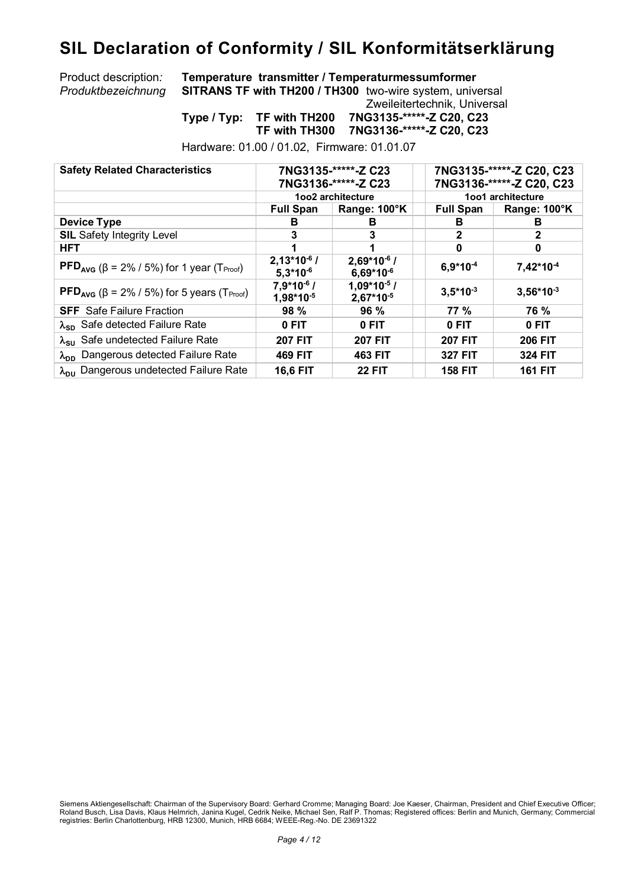# **SIL Declaration of Conformity / SIL Konformitätserklärung**

Product description*: Produktbezeichnung*

# **Temperature transmitter / Temperaturmessumformer SITRANS TF with TH200 / TH300** two-wire system, universal

Zweileitertechnik, Universal

**Type / Typ: TF with TH200 7NG3135-\*\*\*\*\*-Z C20, C23 TF with TH300 7NG3136-\*\*\*\*\*-Z C20, C23**

Hardware: 01.00 / 01.02, Firmware: 01.01.07

| <b>Safety Related Characteristics</b>                                          | 7NG3135-*****-Z C23<br>7NG3136-*****-Z C23 |                                    | 7NG3135-*****-Z C20, C23<br>7NG3136-*****-Z C20, C23 |                       |
|--------------------------------------------------------------------------------|--------------------------------------------|------------------------------------|------------------------------------------------------|-----------------------|
|                                                                                |                                            | 1002 architecture                  |                                                      | 1oo1 architecture     |
|                                                                                | <b>Full Span</b>                           | Range: 100°K                       | <b>Full Span</b>                                     | Range: 100°K          |
| <b>Device Type</b>                                                             | в                                          | в                                  | в                                                    | в                     |
| <b>SIL</b> Safety Integrity Level                                              | 3                                          | 3                                  |                                                      | 2                     |
| <b>HFT</b>                                                                     |                                            |                                    | 0                                                    | 0                     |
| <b>PFD<sub>AVG</sub></b> ( $\beta$ = 2% / 5%) for 1 year (T <sub>Proof</sub> ) | $2,13*10-6$<br>$5.3*10^{-6}$               | $2,69*10^{-6}$ /<br>$6,69*10^{-6}$ | $6,9*10^{-4}$                                        | 7,42*10 <sup>-4</sup> |
| <b>PFD</b> <sub>AVG</sub> (β = 2% / 5%) for 5 years (T <sub>Proof</sub> )      | $7,9*10^{-6}$ /<br>$1,98*10^{-5}$          | $1,09*10-5$ /<br>$2,67*10^{-5}$    | $3,5*10^{-3}$                                        | $3,56*10^{-3}$        |
| <b>SFF</b> Safe Failure Fraction                                               | 98%                                        | 96%                                | <b>77 %</b>                                          | <b>76 %</b>           |
| $\lambda_{SD}$ Safe detected Failure Rate                                      | 0 FIT                                      | 0 FIT                              | 0 FIT                                                | 0 FIT                 |
| $\lambda_{\text{SU}}$ Safe undetected Failure Rate                             | <b>207 FIT</b>                             | <b>207 FIT</b>                     | <b>207 FIT</b>                                       | <b>206 FIT</b>        |
| $\lambda_{DD}$ Dangerous detected Failure Rate                                 | <b>469 FIT</b>                             | <b>463 FIT</b>                     | <b>327 FIT</b>                                       | <b>324 FIT</b>        |
| $\lambda_{\text{DU}}$ Dangerous undetected Failure Rate                        | <b>16,6 FIT</b>                            | <b>22 FIT</b>                      | <b>158 FIT</b>                                       | <b>161 FIT</b>        |

Siemens Aktiengesellschaft: Chairman of the Supervisory Board: Gerhard Cromme; Managing Board: Joe Kaeser, Chairman, President and Chief Executive Officer;<br>Roland Busch, Lisa Davis, Klaus Helmrich, Janina Kugel, Cedrik Nei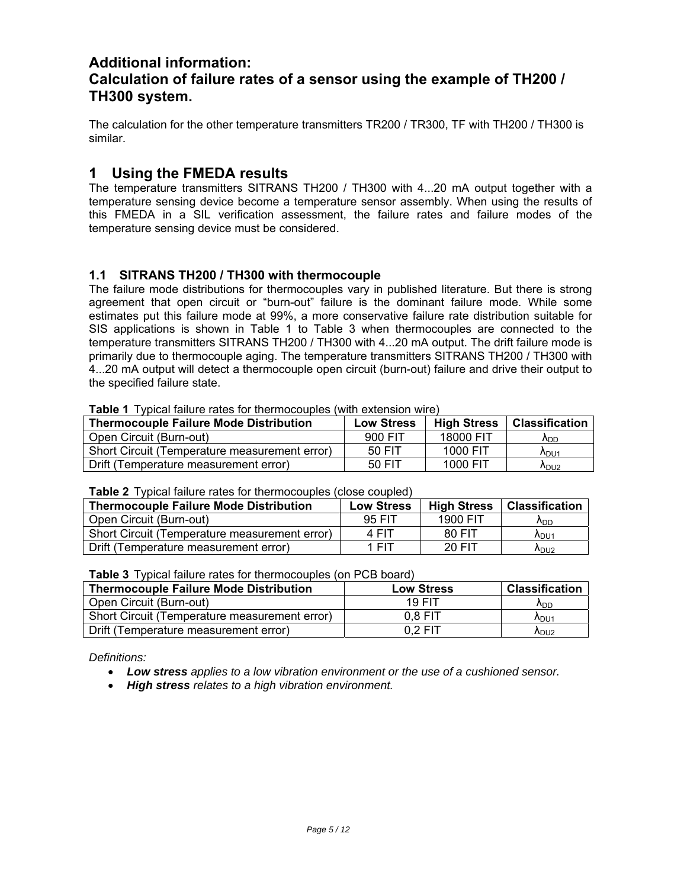## **Additional information:**

# **Calculation of failure rates of a sensor using the example of TH200 / TH300 system.**

The calculation for the other temperature transmitters TR200 / TR300, TF with TH200 / TH300 is similar.

### **1 Using the FMEDA results**

The temperature transmitters SITRANS TH200 / TH300 with 4...20 mA output together with a temperature sensing device become a temperature sensor assembly. When using the results of this FMEDA in a SIL verification assessment, the failure rates and failure modes of the temperature sensing device must be considered.

#### **1.1 SITRANS TH200 / TH300 with thermocouple**

The failure mode distributions for thermocouples vary in published literature. But there is strong agreement that open circuit or "burn-out" failure is the dominant failure mode. While some estimates put this failure mode at 99%, a more conservative failure rate distribution suitable for SIS applications is shown in Table 1 to Table 3 when thermocouples are connected to the temperature transmitters SITRANS TH200 / TH300 with 4...20 mA output. The drift failure mode is primarily due to thermocouple aging. The temperature transmitters SITRANS TH200 / TH300 with 4...20 mA output will detect a thermocouple open circuit (burn-out) failure and drive their output to the specified failure state.

#### **Table 1** Typical failure rates for thermocouples (with extension wire)

| <b>Thermocouple Failure Mode Distribution</b> | <b>Low Stress</b> | <b>High Stress</b> | Classification      |  |  |  |
|-----------------------------------------------|-------------------|--------------------|---------------------|--|--|--|
| Open Circuit (Burn-out)                       | 900 FIT           | 18000 FIT          | Ann                 |  |  |  |
| Short Circuit (Temperature measurement error) | 50 FIT            | 1000 FIT           | A <sub>DU1</sub>    |  |  |  |
| Drift (Temperature measurement error)         | 50 FIT            | 1000 FIT           | $\Lambda_{\rm DU2}$ |  |  |  |

#### **Table 2** Typical failure rates for thermocouples (close coupled)

| <b>Thermocouple Failure Mode Distribution</b> | <b>Low Stress</b> | <b>High Stress</b> | <b>Classification</b> |
|-----------------------------------------------|-------------------|--------------------|-----------------------|
| Open Circuit (Burn-out)                       | 95 FIT            | 1900 FIT           | <b>A</b> DD           |
| Short Circuit (Temperature measurement error) | 4 FIT             | 80 FIT             | A <sub>DU1</sub>      |
| Drift (Temperature measurement error)         | 1 FIT             | 20 FIT             | A <sub>DU2</sub>      |

#### **Table 3** Typical failure rates for thermocouples (on PCB board)

| <b>Thermocouple Failure Mode Distribution</b> | <b>Low Stress</b> | <b>Classification</b> |
|-----------------------------------------------|-------------------|-----------------------|
| Open Circuit (Burn-out)                       | 19 FIT            | <b>A</b> nn           |
| Short Circuit (Temperature measurement error) | $0.8$ FIT         | Anu1                  |
| Drift (Temperature measurement error)         | $0.2$ FIT         | <b>A</b> DU2          |

#### *Definitions:*

- *Low stress applies to a low vibration environment or the use of a cushioned sensor.*
- *High stress relates to a high vibration environment.*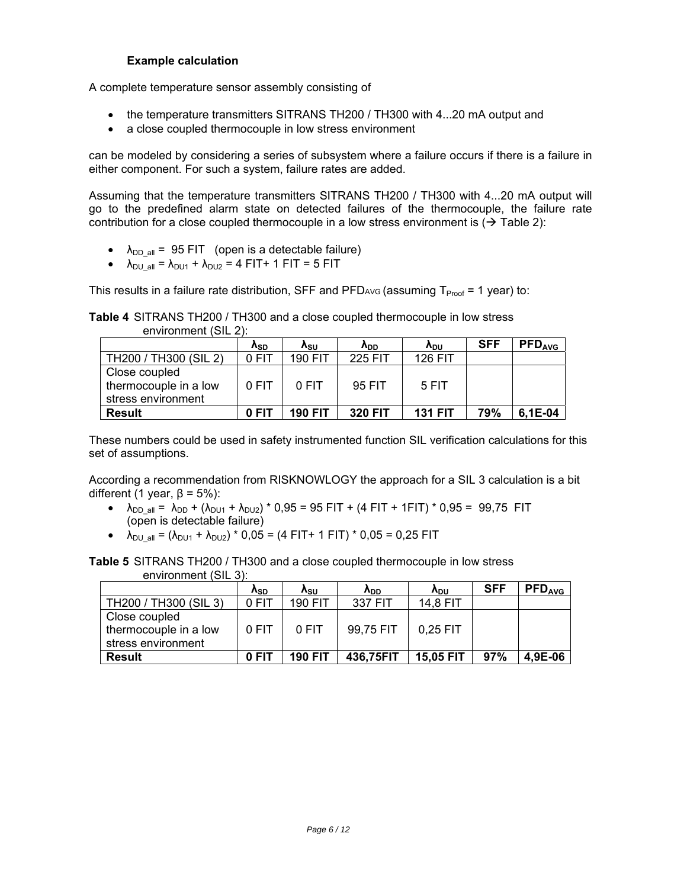#### **Example calculation**

A complete temperature sensor assembly consisting of

- the temperature transmitters SITRANS TH200 / TH300 with 4...20 mA output and
- a close coupled thermocouple in low stress environment

can be modeled by considering a series of subsystem where a failure occurs if there is a failure in either component. For such a system, failure rates are added.

Assuming that the temperature transmitters SITRANS TH200 / TH300 with 4...20 mA output will go to the predefined alarm state on detected failures of the thermocouple, the failure rate contribution for a close coupled thermocouple in a low stress environment is  $(\rightarrow$  Table 2):

- $\lambda_{\text{DD all}} = 95$  FIT (open is a detectable failure)
- $\lambda_{\text{DU all}} = \lambda_{\text{DU1}} + \lambda_{\text{DU2}} = 4$  FIT+ 1 FIT = 5 FIT

This results in a failure rate distribution, SFF and PFD<sub>AVG</sub> (assuming  $T_{Proof} = 1$  year) to:

**Table 4** SITRANS TH200 / TH300 and a close coupled thermocouple in low stress environment (SIL 2):

|                                                                | ΛsD   | Λsυ            | <b>A</b> <sub>D</sub> | <b>A<sub>DU</sub></b> | <b>SFF</b> | <b>PFD<sub>AVG</sub></b> |
|----------------------------------------------------------------|-------|----------------|-----------------------|-----------------------|------------|--------------------------|
| TH200 / TH300 (SIL 2)                                          | 0 FIT | <b>190 FIT</b> | <b>225 FIT</b>        | <b>126 FIT</b>        |            |                          |
| Close coupled<br>I thermocouple in a low<br>stress environment | 0 FIT | 0 FIT          | 95 FIT                | $5$ FIT               |            |                          |
| <b>Result</b>                                                  | 0 FIT | <b>190 FIT</b> | <b>320 FIT</b>        | <b>131 FIT</b>        | 79%        | 6,1E-04                  |

These numbers could be used in safety instrumented function SIL verification calculations for this set of assumptions.

According a recommendation from RISKNOWLOGY the approach for a SIL 3 calculation is a bit different (1 year,  $β = 5\%$ ):

- $\lambda_{\text{DD all}} = \lambda_{\text{DD}} + (\lambda_{\text{DU1}} + \lambda_{\text{DU2}}) * 0.95 = 95$  FIT + (4 FIT + 1FIT) \* 0.95 = 99.75 FIT (open is detectable failure)
- $\lambda_{\text{DU all}} = (\lambda_{\text{DU1}} + \lambda_{\text{DU2}}) * 0.05 = (4 \text{ FIT} + 1 \text{ FIT}) * 0.05 = 0.25 \text{ FIT}$

**Table 5** SITRANS TH200 / TH300 and a close coupled thermocouple in low stress environment (SIL 3):

|                                                              | <b>A</b> sp | Λ <sub>SU</sub> | <b>A</b> <sub>DD</sub> | <b>A</b> <sub>DU</sub> | <b>SFF</b> | <b>PFD<sub>AVG</sub></b> |
|--------------------------------------------------------------|-------------|-----------------|------------------------|------------------------|------------|--------------------------|
| TH200 / TH300 (SIL 3)                                        | 0 FIT       | 190 FIT         | 337 FIT                | 14,8 FIT               |            |                          |
| Close coupled<br>thermocouple in a low<br>stress environment | 0 FIT       | 0 FIT           | 99,75 FIT              | $0.25$ FIT             |            |                          |
| <b>Result</b>                                                | 0 FIT       | <b>190 FIT</b>  | 436,75FIT              | <b>15,05 FIT</b>       | 97%        | 4.9E-06                  |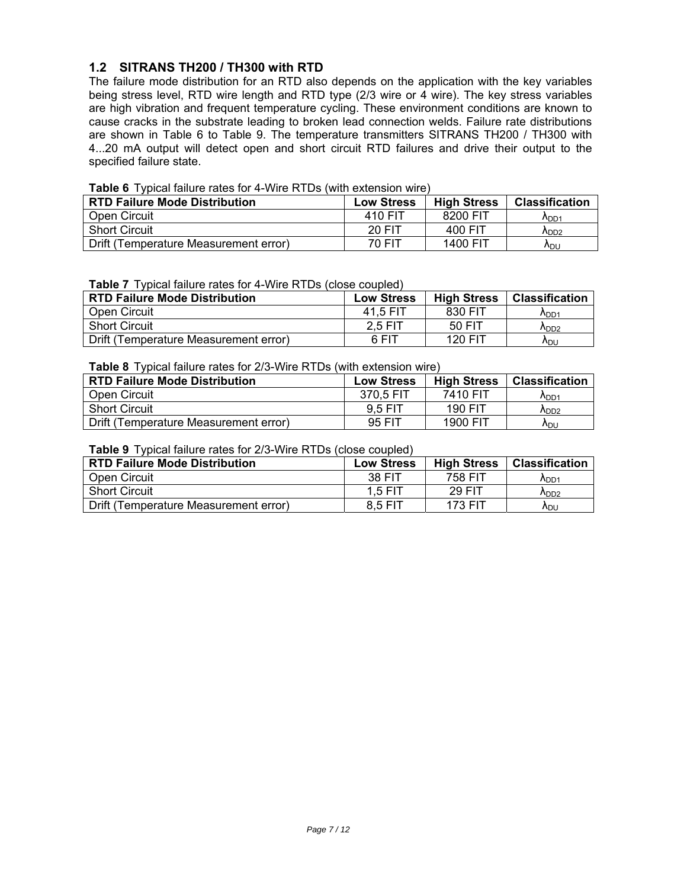#### **1.2 SITRANS TH200 / TH300 with RTD**

The failure mode distribution for an RTD also depends on the application with the key variables being stress level, RTD wire length and RTD type (2/3 wire or 4 wire). The key stress variables are high vibration and frequent temperature cycling. These environment conditions are known to cause cracks in the substrate leading to broken lead connection welds. Failure rate distributions are shown in Table 6 to Table 9. The temperature transmitters SITRANS TH200 / TH300 with 4...20 mA output will detect open and short circuit RTD failures and drive their output to the specified failure state.

| <b>TUDIO U</b> TYDIOUI IUIIUI CTULCO TOI TYYII CTATDO (WILIT CALCHOIOTI WII CT |                   |                    |                       |  |  |  |
|--------------------------------------------------------------------------------|-------------------|--------------------|-----------------------|--|--|--|
| <b>RTD Failure Mode Distribution</b>                                           | <b>Low Stress</b> | <b>High Stress</b> | <b>Classification</b> |  |  |  |
| Open Circuit                                                                   | 410 FIT           | 8200 FIT           | A <sub>DD1</sub>      |  |  |  |
| <b>Short Circuit</b>                                                           | 20 FIT            | 400 FIT            | A <sub>DD2</sub>      |  |  |  |
| Drift (Temperature Measurement error)                                          | 70 FIT            | 1400 FIT           | Anu                   |  |  |  |

**Table 6** Typical failure rates for 4-Wire RTDs (with extension wire)

**Table 7** Typical failure rates for 4-Wire RTDs (close coupled)

| <b>RTD Failure Mode Distribution</b>  | <b>Low Stress</b> | <b>High Stress</b> | <b>Classification</b>  |
|---------------------------------------|-------------------|--------------------|------------------------|
| Open Circuit                          | 41.5 FIT          | 830 FIT            | A <sub>DD1</sub>       |
| <b>Short Circuit</b>                  | $2.5$ FIT         | 50 FIT             | A <sub>DD2</sub>       |
| Drift (Temperature Measurement error) | 6 FIT             | 120 FIT            | <b>A</b> <sub>DU</sub> |

**Table 8** Typical failure rates for 2/3-Wire RTDs (with extension wire)

| <b>RTD Failure Mode Distribution</b>  | <b>Low Stress</b> | <b>High Stress</b> | <b>Classification</b> |
|---------------------------------------|-------------------|--------------------|-----------------------|
| Open Circuit                          | 370.5 FIT         | 7410 FIT           | A <sub>DD1</sub>      |
| <b>Short Circuit</b>                  | 9.5 FIT           | <b>190 FIT</b>     | $\Lambda_{DD2}$       |
| Drift (Temperature Measurement error) | 95 FIT            | 1900 FIT           | Λ <sub>DU</sub>       |

**Table 9** Typical failure rates for 2/3-Wire RTDs (close coupled)

| <b>RTD Failure Mode Distribution</b>  | <b>Low Stress</b> | <b>High Stress</b> | <b>Classification</b>  |
|---------------------------------------|-------------------|--------------------|------------------------|
| Open Circuit                          | 38 FIT            | 758 FIT            | A <sub>DD1</sub>       |
| <b>Short Circuit</b>                  | 1.5 FIT           | <b>29 FIT</b>      | A <sub>DD2</sub>       |
| Drift (Temperature Measurement error) | 8.5 FIT           | 173 FIT            | <b>A</b> <sub>DU</sub> |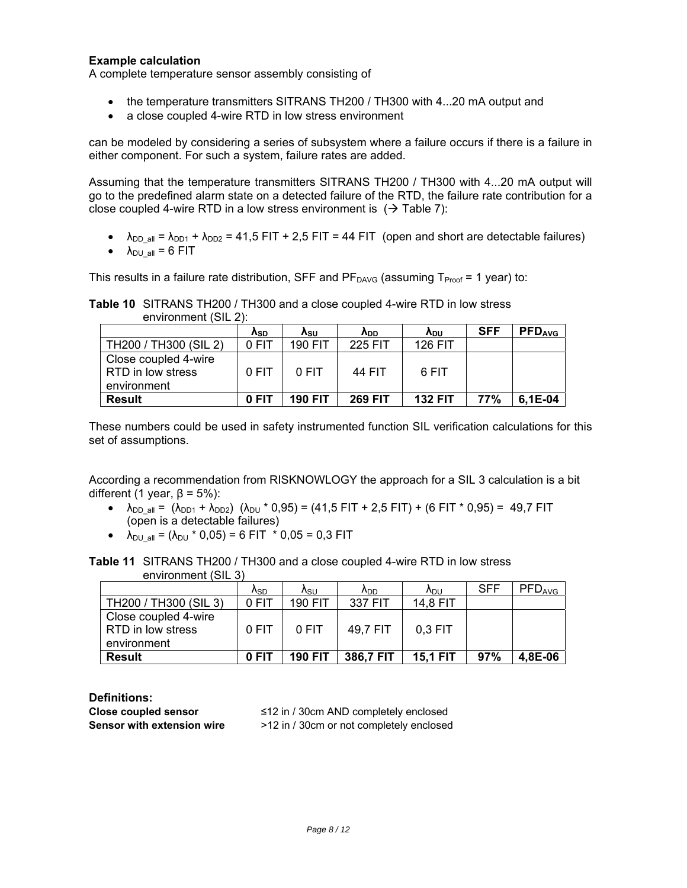#### **Example calculation**

A complete temperature sensor assembly consisting of

- the temperature transmitters SITRANS TH200 / TH300 with 4...20 mA output and
- a close coupled 4-wire RTD in low stress environment

can be modeled by considering a series of subsystem where a failure occurs if there is a failure in either component. For such a system, failure rates are added.

Assuming that the temperature transmitters SITRANS TH200 / TH300 with 4...20 mA output will go to the predefined alarm state on a detected failure of the RTD, the failure rate contribution for a close coupled 4-wire RTD in a low stress environment is  $($   $\rightarrow$  Table 7):

•  $\lambda_{DD\_all} = \lambda_{DD1} + \lambda_{DD2} = 41,5$  FIT + 2,5 FIT = 44 FIT (open and short are detectable failures) •  $\lambda_{\text{DU all}} = 6$  FIT

This results in a failure rate distribution, SFF and  $PF_{DAVG}$  (assuming  $T_{Proof}$  = 1 year) to:

**Table 10** SITRANS TH200 / TH300 and a close coupled 4-wire RTD in low stress environment (SIL 2):

|                                                          | <b>A</b> sp | ∧su            | <b>A</b> <sub>D</sub> | Λ <sub>DU</sub> | <b>SFF</b> | <b>PFD<sub>AVG</sub></b> |
|----------------------------------------------------------|-------------|----------------|-----------------------|-----------------|------------|--------------------------|
| TH200 / TH300 (SIL 2)                                    | 0 FIT       | <b>190 FIT</b> | 225 FIT               | <b>126 FIT</b>  |            |                          |
| Close coupled 4-wire<br>RTD in low stress<br>environment | 0 FIT       | $0$ FIT        | 44 FIT                | 6 FIT           |            |                          |
| <b>Result</b>                                            | 0 FIT       | <b>190 FIT</b> | <b>269 FIT</b>        | <b>132 FIT</b>  | 77%        | $6,1E-04$                |

These numbers could be used in safety instrumented function SIL verification calculations for this set of assumptions.

According a recommendation from RISKNOWLOGY the approach for a SIL 3 calculation is a bit different (1 year,  $β = 5\%$ ):

- $\lambda_{\text{DD all}} = (\lambda_{\text{DD1}} + \lambda_{\text{DD2}}) (\lambda_{\text{DU}} * 0.95) = (41.5 \text{ FIT} + 2.5 \text{ FIT}) + (6 \text{ FIT} * 0.95) = 49.7 \text{ FIT}$ (open is a detectable failures)
- $\lambda_{\text{DU all}} = (\lambda_{\text{DU}} * 0.05) = 6$  FIT  $* 0.05 = 0.3$  FIT

**Table 11** SITRANS TH200 / TH300 and a close coupled 4-wire RTD in low stress environment (SIL 3)

|                       | ∧sn   | ∧su            | Ann       | <b>A</b> <sub>DU</sub> | SFF | <b>PFD<sub>AVG</sub></b> |
|-----------------------|-------|----------------|-----------|------------------------|-----|--------------------------|
| TH200 / TH300 (SIL 3) | 0 FIT | 190 FIT        | 337 FIT   | 14,8 FIT               |     |                          |
| Close coupled 4-wire  |       |                |           |                        |     |                          |
| RTD in low stress     | 0 FIT | $0$ FIT        | 49.7 FIT  | $0.3$ FIT              |     |                          |
| environment           |       |                |           |                        |     |                          |
| <b>Result</b>         | 0 FIT | <b>190 FIT</b> | 386,7 FIT | <b>15,1 FIT</b>        | 97% | 4,8E-06                  |

**Definitions:** 

**Close coupled sensor** ≤12 in / 30cm AND completely enclosed **Sensor with extension wire**  $\longrightarrow$  **2 in / 30cm or not completely enclosed**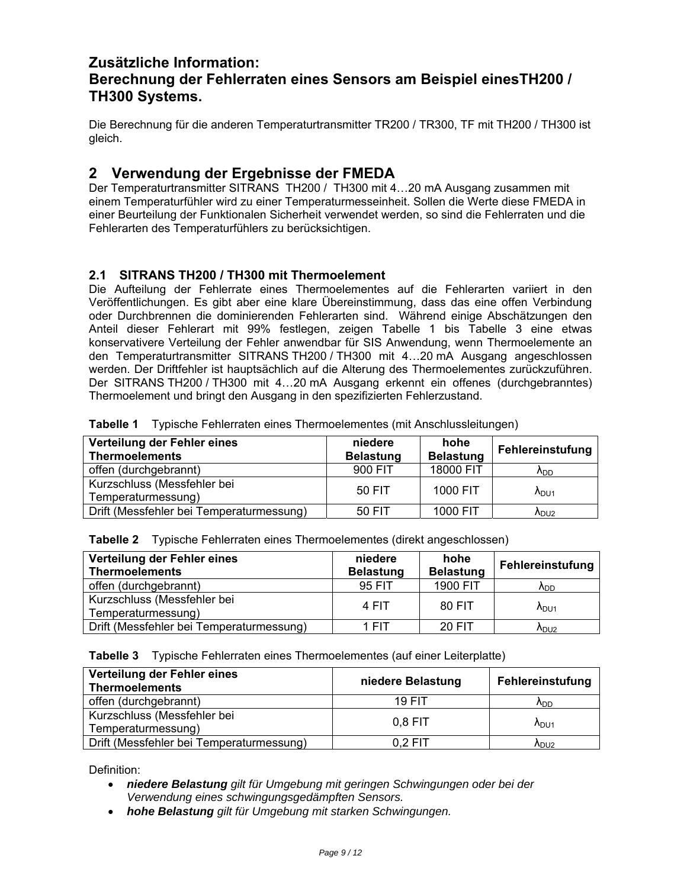## **Zusätzliche Information:**

# **Berechnung der Fehlerraten eines Sensors am Beispiel einesTH200 / TH300 Systems.**

Die Berechnung für die anderen Temperaturtransmitter TR200 / TR300, TF mit TH200 / TH300 ist gleich.

### **2 Verwendung der Ergebnisse der FMEDA**

Der Temperaturtransmitter SITRANS TH200 / TH300 mit 4…20 mA Ausgang zusammen mit einem Temperaturfühler wird zu einer Temperaturmesseinheit. Sollen die Werte diese FMEDA in einer Beurteilung der Funktionalen Sicherheit verwendet werden, so sind die Fehlerraten und die Fehlerarten des Temperaturfühlers zu berücksichtigen.

#### **2.1 SITRANS TH200 / TH300 mit Thermoelement**

Die Aufteilung der Fehlerrate eines Thermoelementes auf die Fehlerarten variiert in den Veröffentlichungen. Es gibt aber eine klare Übereinstimmung, dass das eine offen Verbindung oder Durchbrennen die dominierenden Fehlerarten sind. Während einige Abschätzungen den Anteil dieser Fehlerart mit 99% festlegen, zeigen Tabelle 1 bis Tabelle 3 eine etwas konservativere Verteilung der Fehler anwendbar für SIS Anwendung, wenn Thermoelemente an den Temperaturtransmitter SITRANS TH200 / TH300 mit 4…20 mA Ausgang angeschlossen werden. Der Driftfehler ist hauptsächlich auf die Alterung des Thermoelementes zurückzuführen. Der SITRANS TH200 / TH300 mit 4…20 mA Ausgang erkennt ein offenes (durchgebranntes) Thermoelement und bringt den Ausgang in den spezifizierten Fehlerzustand.

| Verteilung der Fehler eines<br><b>Thermoelements</b> | niedere<br><b>Belastung</b> | hohe<br><b>Belastung</b> | Fehlereinstufung       |
|------------------------------------------------------|-----------------------------|--------------------------|------------------------|
| offen (durchgebrannt)                                | 900 FIT                     | 18000 FIT                | <b>A</b> <sub>D</sub>  |
| Kurzschluss (Messfehler bei<br>Temperaturmessung)    | 50 FIT                      | 1000 FIT                 | A <sub>D111</sub>      |
| Drift (Messfehler bei Temperaturmessung)             | 50 FIT                      | 1000 FIT                 | $\Lambda_{\text{DU2}}$ |

**Tabelle 1** Typische Fehlerraten eines Thermoelementes (mit Anschlussleitungen)

|  |  | Tabelle 2 Typische Fehlerraten eines Thermoelementes (direkt angeschlossen) |  |
|--|--|-----------------------------------------------------------------------------|--|
|--|--|-----------------------------------------------------------------------------|--|

| Verteilung der Fehler eines<br><b>Thermoelements</b> | niedere<br><b>Belastung</b> | hohe<br><b>Belastung</b> | Fehlereinstufung       |
|------------------------------------------------------|-----------------------------|--------------------------|------------------------|
| offen (durchgebrannt)                                | 95 FIT                      | 1900 FIT                 | $\Lambda_{DD}$         |
| Kurzschluss (Messfehler bei<br>Temperaturmessung)    | 4 FIT                       | 80 FIT                   | $\lambda_{\text{DU1}}$ |
| Drift (Messfehler bei Temperaturmessung)             | 1 FIT                       | <b>20 FIT</b>            | $\Lambda_{\rm DU2}$    |

**Tabelle 3** Typische Fehlerraten eines Thermoelementes (auf einer Leiterplatte)

| Verteilung der Fehler eines<br><b>Thermoelements</b> | niedere Belastung | Fehlereinstufung       |
|------------------------------------------------------|-------------------|------------------------|
| offen (durchgebrannt)                                | <b>19 FIT</b>     | $\Lambda_{DD}$         |
| Kurzschluss (Messfehler bei<br>Temperaturmessung)    | $0.8$ FIT         | $A_{DU1}$              |
| Drift (Messfehler bei Temperaturmessung)             | $0.2$ FIT         | $\Lambda_{\text{DU2}}$ |

Definition:

- *niedere Belastung gilt für Umgebung mit geringen Schwingungen oder bei der Verwendung eines schwingungsgedämpften Sensors.*
- *hohe Belastung gilt für Umgebung mit starken Schwingungen.*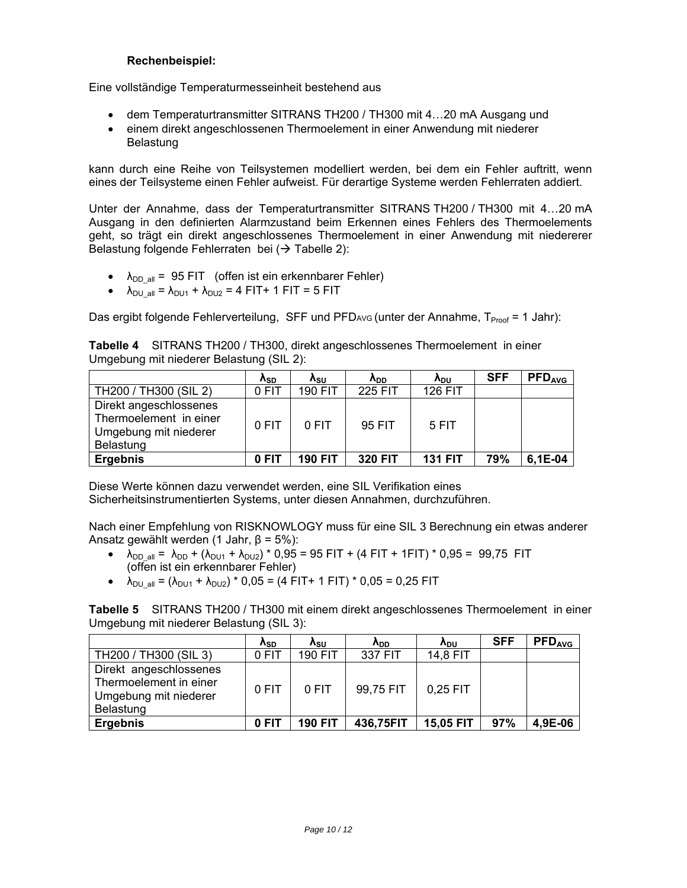#### **Rechenbeispiel:**

Eine vollständige Temperaturmesseinheit bestehend aus

- dem Temperaturtransmitter SITRANS TH200 / TH300 mit 4…20 mA Ausgang und
- einem direkt angeschlossenen Thermoelement in einer Anwendung mit niederer Belastung

kann durch eine Reihe von Teilsystemen modelliert werden, bei dem ein Fehler auftritt, wenn eines der Teilsysteme einen Fehler aufweist. Für derartige Systeme werden Fehlerraten addiert.

Unter der Annahme, dass der Temperaturtransmitter SITRANS TH200 / TH300 mit 4…20 mA Ausgang in den definierten Alarmzustand beim Erkennen eines Fehlers des Thermoelements geht, so trägt ein direkt angeschlossenes Thermoelement in einer Anwendung mit niedererer Belastung folgende Fehlerraten bei  $(\rightarrow$  Tabelle 2):

- $\lambda_{\text{DD all}} = 95$  FIT (offen ist ein erkennbarer Fehler)
- $\lambda_{\text{DU all}} = \lambda_{\text{DU1}} + \lambda_{\text{DU2}} = 4$  FIT+ 1 FIT = 5 FIT

Das ergibt folgende Fehlerverteilung, SFF und PFD<sub>AVG</sub> (unter der Annahme, T<sub>Proof</sub> = 1 Jahr):

**Tabelle 4** SITRANS TH200 / TH300, direkt angeschlossenes Thermoelement in einer Umgebung mit niederer Belastung (SIL 2):

|                                                                                        | ΛsD   | Asu            | <b>A<sub>DD</sub></b> | A <sub>DU</sub> | <b>SFF</b> | <b>PFD<sub>AVG</sub></b> |
|----------------------------------------------------------------------------------------|-------|----------------|-----------------------|-----------------|------------|--------------------------|
| TH200 / TH300 (SIL 2)                                                                  | 0 FIT | <b>190 FIT</b> | <b>225 FIT</b>        | <b>126 FIT</b>  |            |                          |
| Direkt angeschlossenes<br>Thermoelement in einer<br>Umgebung mit niederer<br>Belastung | 0 FIT | 0 FIT          | 95 FIT                | 5 FIT           |            |                          |
| Ergebnis                                                                               | 0 FIT | <b>190 FIT</b> | <b>320 FIT</b>        | <b>131 FIT</b>  | 79%        | 6,1E-04                  |

Diese Werte können dazu verwendet werden, eine SIL Verifikation eines Sicherheitsinstrumentierten Systems, unter diesen Annahmen, durchzuführen.

Nach einer Empfehlung von RISKNOWLOGY muss für eine SIL 3 Berechnung ein etwas anderer Ansatz gewählt werden (1 Jahr, β = 5%):

- $\lambda_{\text{DD all}} = \lambda_{\text{DD}} + (\lambda_{\text{DU1}} + \lambda_{\text{DU2}})^* 0.95 = 95$  FIT + (4 FIT + 1FIT) \* 0.95 = 99.75 FIT (offen ist ein erkennbarer Fehler)
- $\lambda_{\text{DU all}} = (\lambda_{\text{DU1}} + \lambda_{\text{DU2}}) * 0.05 = (4 \text{ FIT} + 1 \text{ FIT}) * 0.05 = 0.25 \text{ FIT}$

**Tabelle 5** SITRANS TH200 / TH300 mit einem direkt angeschlossenes Thermoelement in einer Umgebung mit niederer Belastung (SIL 3):

|                                                                                        | <b>A</b> sp | Asu            | <b>A<sub>DD</sub></b> | <b>A</b> <sub>DU</sub> | <b>SFF</b> | <b>PFD<sub>AVG</sub></b> |
|----------------------------------------------------------------------------------------|-------------|----------------|-----------------------|------------------------|------------|--------------------------|
| TH200 / TH300 (SIL 3)                                                                  | 0 FIT       | <b>190 FIT</b> | 337 FIT               | 14,8 FIT               |            |                          |
| Direkt angeschlossenes<br>Thermoelement in einer<br>Umgebung mit niederer<br>Belastung | 0 FIT       | 0 FIT          | 99,75 FIT             | $0.25$ FIT             |            |                          |
| <b>Ergebnis</b>                                                                        | 0 FIT       | <b>190 FIT</b> | 436,75FIT             | 15,05 FIT              | 97%        | 4,9E-06                  |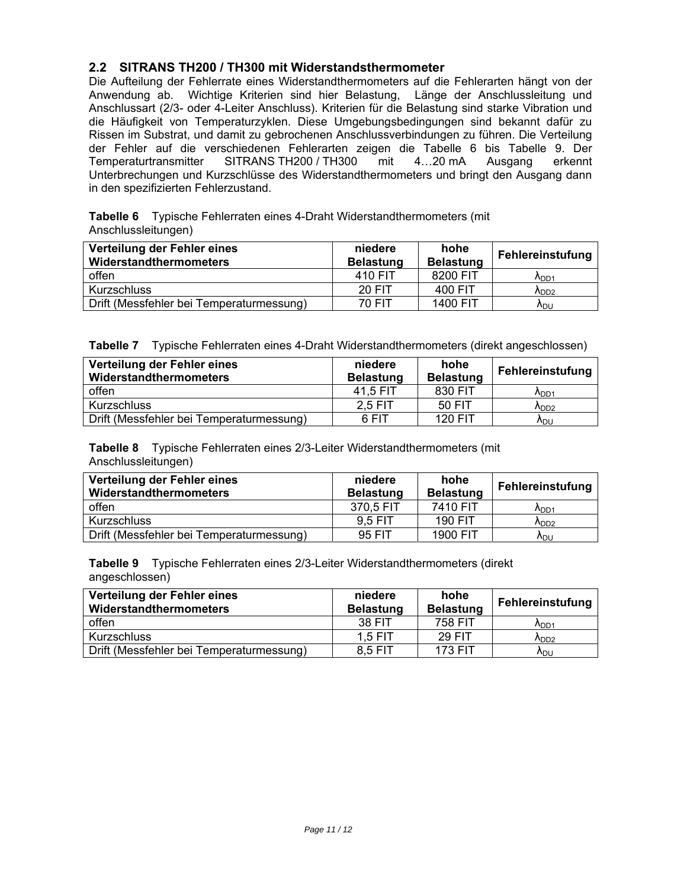#### **2.2 SITRANS TH200 / TH300 mit Widerstandsthermometer**

Die Aufteilung der Fehlerrate eines Widerstandthermometers auf die Fehlerarten hängt von der Anwendung ab. Wichtige Kriterien sind hier Belastung, Länge der Anschlussleitung und Anschlussart (2/3- oder 4-Leiter Anschluss). Kriterien für die Belastung sind starke Vibration und die Häufigkeit von Temperaturzyklen. Diese Umgebungsbedingungen sind bekannt dafür zu Rissen im Substrat, und damit zu gebrochenen Anschlussverbindungen zu führen. Die Verteilung der Fehler auf die verschiedenen Fehlerarten zeigen die Tabelle 6 bis Tabelle 9. Der Temperaturtransmitter SITRANS TH200 / TH300 mit 4…20 mA Ausgang erkennt Unterbrechungen und Kurzschlüsse des Widerstandthermometers und bringt den Ausgang dann in den spezifizierten Fehlerzustand.

**Tabelle 6** Typische Fehlerraten eines 4-Draht Widerstandthermometers (mit Anschlussleitungen)

| Verteilung der Fehler eines<br>Widerstandthermometers | niedere<br><b>Belastung</b> | hohe<br><b>Belastung</b> | Fehlereinstufung   |
|-------------------------------------------------------|-----------------------------|--------------------------|--------------------|
| offen                                                 | 410 FIT                     | 8200 FIT                 | $\Lambda_{DD1}$    |
| Kurzschluss                                           | 20 FIT                      | 400 FIT                  | $\Lambda_{DD2}$    |
| Drift (Messfehler bei Temperaturmessung)              | 70 FIT                      | 1400 FIT                 | $\Lambda_{\rm DU}$ |

**Tabelle 7** Typische Fehlerraten eines 4-Draht Widerstandthermometers (direkt angeschlossen)

| Verteilung der Fehler eines<br>Widerstandthermometers | niedere<br><b>Belastung</b> | hohe<br><b>Belastung</b> | Fehlereinstufung   |  |
|-------------------------------------------------------|-----------------------------|--------------------------|--------------------|--|
| offen                                                 | 41,5 FIT                    | 830 FIT                  | A <sub>DD1</sub>   |  |
| <b>Kurzschluss</b>                                    | $2.5$ FIT                   | 50 FIT                   | $\Lambda_{DD2}$    |  |
| Drift (Messfehler bei Temperaturmessung)              | 6 FIT                       | 120 FIT                  | $\Lambda_{\rm DU}$ |  |

**Tabelle 8** Typische Fehlerraten eines 2/3-Leiter Widerstandthermometers (mit Anschlussleitungen)

| Verteilung der Fehler eines<br>Widerstandthermometers | niedere<br><b>Belastung</b> | hohe<br><b>Belastung</b> | Fehlereinstufung       |
|-------------------------------------------------------|-----------------------------|--------------------------|------------------------|
| offen                                                 | 370.5 FIT                   | 7410 FIT                 | A <sub>DD1</sub>       |
| Kurzschluss                                           | 9.5 FIT                     | 190 FIT                  | A <sub>DD2</sub>       |
| Drift (Messfehler bei Temperaturmessung)              | 95 FIT                      | 1900 FIT                 | <b>A</b> <sub>DU</sub> |

**Tabelle 9** Typische Fehlerraten eines 2/3-Leiter Widerstandthermometers (direkt angeschlossen)

| Verteilung der Fehler eines<br>Widerstandthermometers | niedere<br><b>Belastung</b> | hohe<br><b>Belastung</b> | Fehlereinstufung   |
|-------------------------------------------------------|-----------------------------|--------------------------|--------------------|
| offen                                                 | 38 FIT                      | 758 FIT                  | A <sub>DD1</sub>   |
| <b>Kurzschluss</b>                                    | $1.5$ FIT                   | <b>29 FIT</b>            | A <sub>DD2</sub>   |
| Drift (Messfehler bei Temperaturmessung)              | 8.5 FIT                     | <b>173 FIT</b>           | $\Lambda_{\rm DU}$ |